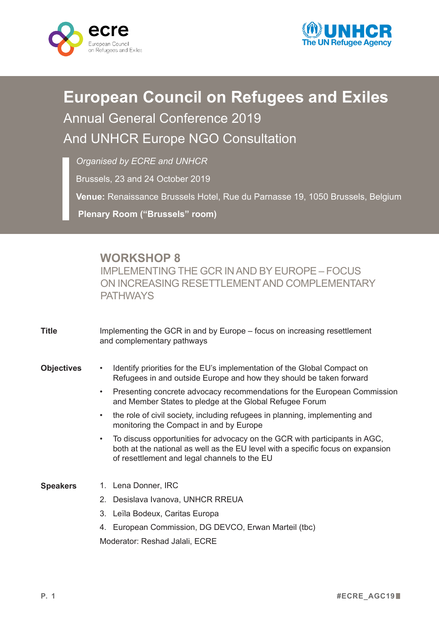



## **European Council on Refugees and Exiles** Annual General Conference 2019 And UNHCR Europe NGO Consultation

*Organised by ECRE and UNHCR*

Brussels, 23 and 24 October 2019

**Venue:** Renaissance Brussels Hotel, Rue du Parnasse 19, 1050 Brussels, Belgium

**Plenary Room ("Brussels" room)**

## **WORKSHOP 8**

IMPLEMENTING THE GCR INAND BY EUROPE – FOCUS ON INCREASING RESETTLEMENTAND COMPLEMENTARY **PATHWAYS** 

| <b>Title</b>      | Implementing the GCR in and by Europe – focus on increasing resettlement<br>and complementary pathways                                                                                                                     |
|-------------------|----------------------------------------------------------------------------------------------------------------------------------------------------------------------------------------------------------------------------|
| <b>Objectives</b> | Identify priorities for the EU's implementation of the Global Compact on<br>$\bullet$<br>Refugees in and outside Europe and how they should be taken forward                                                               |
|                   | Presenting concrete advocacy recommendations for the European Commission<br>$\bullet$<br>and Member States to pledge at the Global Refugee Forum                                                                           |
|                   | the role of civil society, including refugees in planning, implementing and<br>$\bullet$<br>monitoring the Compact in and by Europe                                                                                        |
|                   | To discuss opportunities for advocacy on the GCR with participants in AGC,<br>$\bullet$<br>both at the national as well as the EU level with a specific focus on expansion<br>of resettlement and legal channels to the EU |
| <b>Speakers</b>   | 1. Lena Donner, IRC                                                                                                                                                                                                        |
|                   | Desislava Ivanova, UNHCR RREUA<br>$2^{+}$                                                                                                                                                                                  |
|                   | 3. Leïla Bodeux, Caritas Europa                                                                                                                                                                                            |
|                   | 4. European Commission, DG DEVCO, Erwan Marteil (tbc)                                                                                                                                                                      |
|                   | Moderator: Reshad Jalali, ECRE                                                                                                                                                                                             |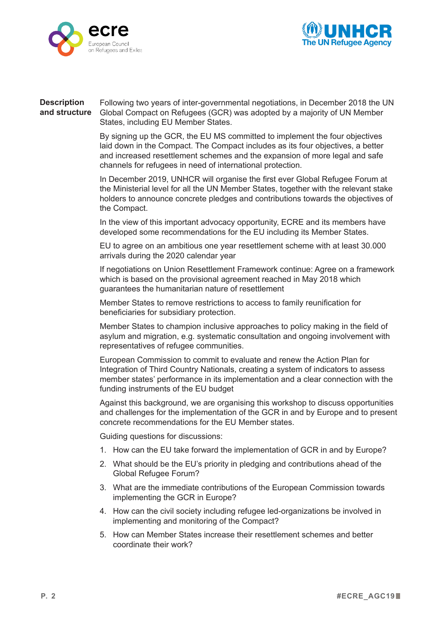



## Following two years of inter-governmental negotiations, in December 2018 the UN Global Compact on Refugees (GCR) was adopted by a majority of UN Member States, including EU Member States. **Description and structure**

By signing up the GCR, the EU MS committed to implement the four objectives laid down in the Compact. The Compact includes as its four objectives, a better and increased resettlement schemes and the expansion of more legal and safe channels for refugees in need of international protection.

In December 2019, UNHCR will organise the first ever Global Refugee Forum at the Ministerial level for all the UN Member States, together with the relevant stake holders to announce concrete pledges and contributions towards the objectives of the Compact.

In the view of this important advocacy opportunity, ECRE and its members have developed some recommendations for the EU including its Member States.

EU to agree on an ambitious one year resettlement scheme with at least 30.000 arrivals during the 2020 calendar year

If negotiations on Union Resettlement Framework continue: Agree on a framework which is based on the provisional agreement reached in May 2018 which guarantees the humanitarian nature of resettlement

Member States to remove restrictions to access to family reunification for beneficiaries for subsidiary protection.

Member States to champion inclusive approaches to policy making in the field of asylum and migration, e.g. systematic consultation and ongoing involvement with representatives of refugee communities.

European Commission to commit to evaluate and renew the Action Plan for Integration of Third Country Nationals, creating a system of indicators to assess member states' performance in its implementation and a clear connection with the funding instruments of the EU budget

Against this background, we are organising this workshop to discuss opportunities and challenges for the implementation of the GCR in and by Europe and to present concrete recommendations for the EU Member states.

Guiding questions for discussions:

- 1. How can the EU take forward the implementation of GCR in and by Europe?
- 2. What should be the EU's priority in pledging and contributions ahead of the Global Refugee Forum?
- 3. What are the immediate contributions of the European Commission towards implementing the GCR in Europe?
- 4. How can the civil society including refugee led-organizations be involved in implementing and monitoring of the Compact?
- 5. How can Member States increase their resettlement schemes and better coordinate their work?